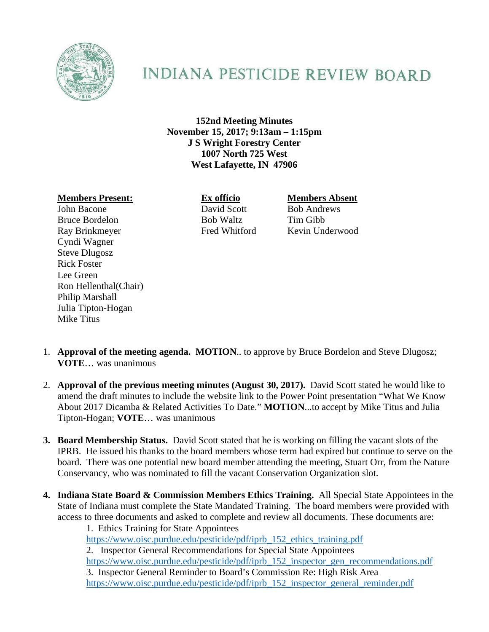

## **INDIANA PESTICIDE REVIEW BOARD**

**152nd Meeting Minutes November 15, 2017; 9:13am – 1:15pm J S Wright Forestry Center 1007 North 725 West West Lafayette, IN 47906** 

## **Members Present: Ex officio Members Absent**

John Bacone David Scott Bob Andrews Bruce Bordelon Bob Waltz Tim Gibb Ray Brinkmeyer Fred Whitford Kevin Underwood Cyndi Wagner Steve Dlugosz Rick Foster Lee Green Ron Hellenthal(Chair) Philip Marshall Julia Tipton-Hogan Mike Titus

- 1. **Approval of the meeting agenda. MOTION**.. to approve by Bruce Bordelon and Steve Dlugosz; **VOTE**… was unanimous
- 2. **Approval of the previous meeting minutes (August 30, 2017).** David Scott stated he would like to amend the draft minutes to include the website link to the Power Point presentation "What We Know About 2017 Dicamba & Related Activities To Date." **MOTION**...to accept by Mike Titus and Julia Tipton-Hogan; **VOTE**… was unanimous
- **3. Board Membership Status.** David Scott stated that he is working on filling the vacant slots of the IPRB. He issued his thanks to the board members whose term had expired but continue to serve on the board. There was one potential new board member attending the meeting, Stuart Orr, from the Nature Conservancy, who was nominated to fill the vacant Conservation Organization slot.
- **4. Indiana State Board & Commission Members Ethics Training.** All Special State Appointees in the State of Indiana must complete the State Mandated Training. The board members were provided with access to three documents and asked to complete and review all documents. These documents are:

1. Ethics Training for State Appointees https://www.oisc.purdue.edu/pesticide/pdf/iprb\_152\_ethics\_training.pdf 2. Inspector General Recommendations for Special State Appointees https://www.oisc.purdue.edu/pesticide/pdf/iprb\_152\_inspector\_gen\_recommendations.pdf 3. Inspector General Reminder to Board's Commission Re: High Risk Area https://www.oisc.purdue.edu/pesticide/pdf/iprb 152 inspector general reminder.pdf